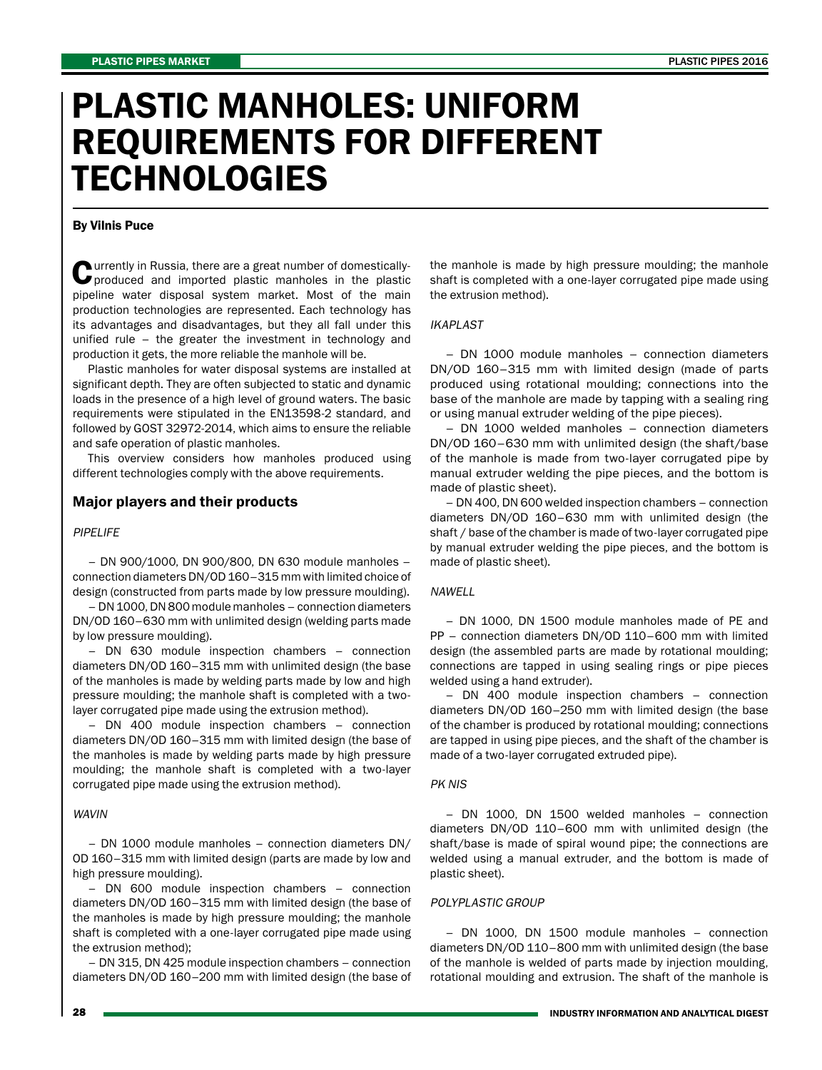# PLASTIC MANHOLES: UNIFORM REQUIREMENTS FOR DIFFERENT **TECHNOLOGIES**

#### By Vilnis Puce

**Currently in Russia, there are a great number of domestically-**<br>produced and imported plastic manholes in the plastic pipeline water disposal system market. Most of the main production technologies are represented. Each technology has its advantages and disadvantages, but they all fall under this unified rule – the greater the investment in technology and production it gets, the more reliable the manhole will be.

Plastic manholes for water disposal systems are installed at significant depth. They are often subjected to static and dynamic loads in the presence of a high level of ground waters. The basic requirements were stipulated in the EN13598-2 standard, and followed by GOST 32972-2014, which aims to ensure the reliable and safe operation of plastic manholes.

This overview considers how manholes produced using different technologies comply with the above requirements.

#### Major players and their products

#### PIPELIFE

– DN 900/1000, DN 900/800, DN 630 module manholes – connection diameters DN/OD 160–315 mm with limited choice of design (constructed from parts made by low pressure moulding).

– DN 1000, DN 800 module manholes – connection diameters DN/OD 160–630 mm with unlimited design (welding parts made by low pressure moulding).

– DN 630 module inspection chambers – connection diameters DN/OD 160–315 mm with unlimited design (the base of the manholes is made by welding parts made by low and high pressure moulding; the manhole shaft is completed with a twolayer corrugated pipe made using the extrusion method).

– DN 400 module inspection chambers – connection diameters DN/OD 160–315 mm with limited design (the base of the manholes is made by welding parts made by high pressure moulding; the manhole shaft is completed with a two-layer corrugated pipe made using the extrusion method).

#### WAVIN

– DN 1000 module manholes – connection diameters DN/ OD 160–315 mm with limited design (parts are made by low and high pressure moulding).

– DN 600 module inspection chambers – connection diameters DN/OD 160–315 mm with limited design (the base of the manholes is made by high pressure moulding; the manhole shaft is completed with a one-layer corrugated pipe made using the extrusion method);

– DN 315, DN 425 module inspection chambers – connection diameters DN/OD 160–200 mm with limited design (the base of

the manhole is made by high pressure moulding; the manhole shaft is completed with a one-layer corrugated pipe made using the extrusion method).

#### IKAPLAST

– DN 1000 module manholes – connection diameters DN/OD 160–315 mm with limited design (made of parts produced using rotational moulding; connections into the base of the manhole are made by tapping with a sealing ring or using manual extruder welding of the pipe pieces).

– DN 1000 welded manholes – connection diameters DN/OD 160–630 mm with unlimited design (the shaft/base of the manhole is made from two-layer corrugated pipe by manual extruder welding the pipe pieces, and the bottom is made of plastic sheet).

– DN 400, DN 600 welded inspection chambers – connection diameters DN/OD 160–630 mm with unlimited design (the shaft / base of the chamber is made of two-layer corrugated pipe by manual extruder welding the pipe pieces, and the bottom is made of plastic sheet).

#### **NAWELL**

– DN 1000, DN 1500 module manholes made of PE and PP – connection diameters DN/OD 110–600 mm with limited design (the assembled parts are made by rotational moulding; connections are tapped in using sealing rings or pipe pieces welded using a hand extruder).

– DN 400 module inspection chambers – connection diameters DN/OD 160–250 mm with limited design (the base of the chamber is produced by rotational moulding; connections are tapped in using pipe pieces, and the shaft of the chamber is made of a two-layer corrugated extruded pipe).

#### PK NIS

– DN 1000, DN 1500 welded manholes – connection diameters DN/OD 110–600 mm with unlimited design (the shaft/base is made of spiral wound pipe; the connections are welded using a manual extruder, and the bottom is made of plastic sheet).

#### POLYPLASTIC GROUP

– DN 1000, DN 1500 module manholes – connection diameters DN/OD 110–800 mm with unlimited design (the base of the manhole is welded of parts made by injection moulding, rotational moulding and extrusion. The shaft of the manhole is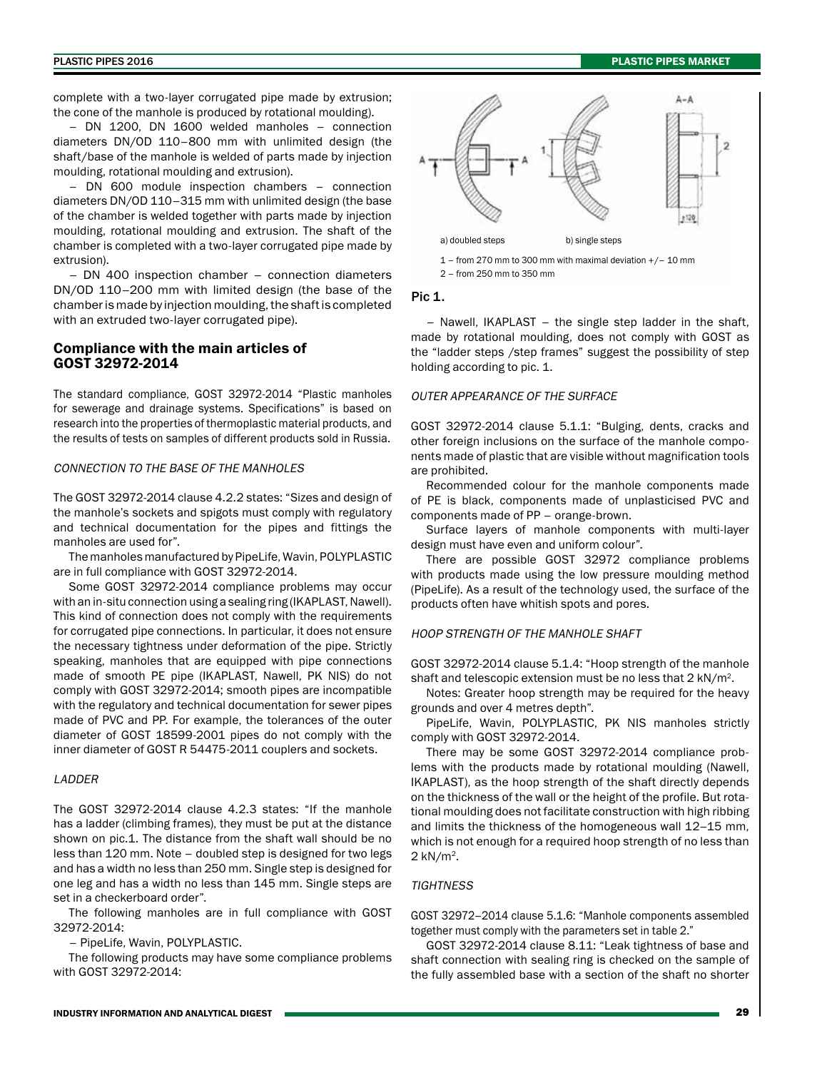complete with a two-layer corrugated pipe made by extrusion; the cone of the manhole is produced by rotational moulding).

– DN 1200, DN 1600 welded manholes – connection diameters DN/OD 110–800 mm with unlimited design (the shaft/base of the manhole is welded of parts made by injection moulding, rotational moulding and extrusion).

– DN 600 module inspection chambers – connection diameters DN/OD 110–315 mm with unlimited design (the base of the chamber is welded together with parts made by injection moulding, rotational moulding and extrusion. The shaft of the chamber is completed with a two-layer corrugated pipe made by extrusion).

– DN 400 inspection chamber – connection diameters DN/OD 110–200 mm with limited design (the base of the chamber is made by injection moulding, the shaft is completed with an extruded two-layer corrugated pipe).

# Compliance with the main articles of GOST 32972-2014

The standard compliance, GOST 32972-2014 "Plastic manholes for sewerage and drainage systems. Specifications" is based on research into the properties of thermoplastic material products, and the results of tests on samples of different products sold in Russia.

#### CONNECTION TO THE BASE OF THE MANHOLES

The GOST 32972-2014 clause 4.2.2 states: "Sizes and design of the manhole's sockets and spigots must comply with regulatory and technical documentation for the pipes and fittings the manholes are used for".

The manholes manufactured by PipeLife, Wavin, POLYPLASTIC are in full compliance with GOST 32972-2014.

Some GOST 32972-2014 compliance problems may occur with an in-situ connection using a sealing ring (IKAPLAST, Nawell). This kind of connection does not comply with the requirements for corrugated pipe connections. In particular, it does not ensure the necessary tightness under deformation of the pipe. Strictly speaking, manholes that are equipped with pipe connections made of smooth PE pipe (IKAPLAST, Nawell, PK NIS) do not comply with GOST 32972-2014; smooth pipes are incompatible with the regulatory and technical documentation for sewer pipes made of PVC and PP. For example, the tolerances of the outer diameter of GOST 18599-2001 pipes do not comply with the inner diameter of GOST R 54475-2011 couplers and sockets.

# LADDER

The GOST 32972-2014 clause 4.2.3 states: "If the manhole has a ladder (climbing frames), they must be put at the distance shown on pic.1. The distance from the shaft wall should be no less than 120 mm. Note – doubled step is designed for two legs and has a width no less than 250 mm. Single step is designed for one leg and has a width no less than 145 mm. Single steps are set in a checkerboard order".

The following manholes are in full compliance with GOST 32972-2014:

– PipeLife, Wavin, POLYPLASTIC.

The following products may have some compliance problems with GOST 32972-2014:



2 – from 250 mm to 350 mm

#### Pic 1.

– Nawell, IKAPLAST – the single step ladder in the shaft, made by rotational moulding, does not comply with GOST as the "ladder steps /step frames" suggest the possibility of step holding according to pic. 1.

#### OUTER APPEARANCE OF THE SURFACE

GOST 32972-2014 clause 5.1.1: "Bulging, dents, cracks and other foreign inclusions on the surface of the manhole components made of plastic that are visible without magnification tools are prohibited.

Recommended colour for the manhole components made of PE is black, components made of unplasticised PVC and components made of PP – orange-brown.

Surface layers of manhole components with multi-layer design must have even and uniform colour".

There are possible GOST 32972 compliance problems with products made using the low pressure moulding method (PipeLife). As a result of the technology used, the surface of the products often have whitish spots and pores.

#### HOOP STRENGTH OF THE MANHOLE SHAFT

GOST 32972-2014 clause 5.1.4: "Hoop strength of the manhole shaft and telescopic extension must be no less that 2 kN/m2.

Notes: Greater hoop strength may be required for the heavy grounds and over 4 metres depth".

PipeLife, Wavin, POLYPLASTIC, PK NIS manholes strictly comply with GOST 32972-2014.

There may be some GOST 32972-2014 compliance problems with the products made by rotational moulding (Nawell, IKAPLAST), as the hoop strength of the shaft directly depends on the thickness of the wall or the height of the profile. But rotational moulding does not facilitate construction with high ribbing and limits the thickness of the homogeneous wall 12–15 mm, which is not enough for a required hoop strength of no less than 2 kN/m2.

# **TIGHTNESS**

GOST 32972–2014 clause 5.1.6: "Manhole components assembled together must comply with the parameters set in table 2."

GOST 32972-2014 clause 8.11: "Leak tightness of base and shaft connection with sealing ring is checked on the sample of the fully assembled base with a section of the shaft no shorter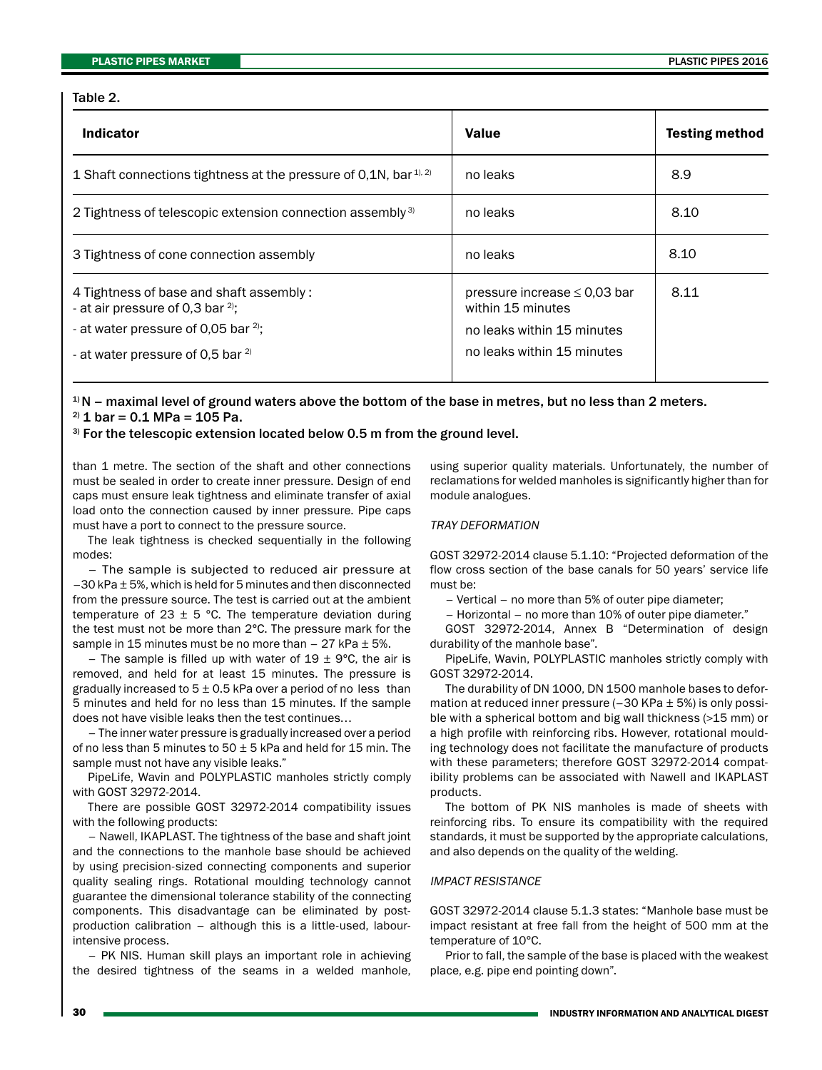# Table 2.

| <b>Indicator</b>                                                                        | <b>Value</b>                                           | <b>Testing method</b> |
|-----------------------------------------------------------------------------------------|--------------------------------------------------------|-----------------------|
| 1 Shaft connections tightness at the pressure of 0,1N, bar <sup>1), 2)</sup>            | no leaks                                               | 8.9                   |
| 2 Tightness of telescopic extension connection assembly <sup>3)</sup>                   | no leaks                                               | 8.10                  |
| 3 Tightness of cone connection assembly                                                 | no leaks                                               | 8.10                  |
| 4 Tightness of base and shaft assembly:<br>- at air pressure of 0,3 bar <sup>2)</sup> ; | pressure increase $\leq$ 0.03 bar<br>within 15 minutes | 8.11                  |
| - at water pressure of 0,05 bar <sup>2)</sup> ;                                         | no leaks within 15 minutes                             |                       |
| - at water pressure of 0,5 bar <sup>2)</sup>                                            | no leaks within 15 minutes                             |                       |

 $1/N$  – maximal level of ground waters above the bottom of the base in metres, but no less than 2 meters.  $^{2)}$  1 bar = 0.1 MPa = 105 Pa.

# <sup>3)</sup> For the telescopic extension located below 0.5 m from the ground level.

than 1 metre. The section of the shaft and other connections must be sealed in order to create inner pressure. Design of end caps must ensure leak tightness and eliminate transfer of axial load onto the connection caused by inner pressure. Pipe caps must have a port to connect to the pressure source.

The leak tightness is checked sequentially in the following modes:

– The sample is subjected to reduced air pressure at –30 kPa ± 5%, which is held for 5 minutes and then disconnected from the pressure source. The test is carried out at the ambient temperature of 23  $\pm$  5 °C. The temperature deviation during the test must not be more than 2°С. The pressure mark for the sample in 15 minutes must be no more than  $-27$  kPa  $\pm$  5%.

– The sample is filled up with water of  $19 \pm 9^{\circ}$ C, the air is removed, and held for at least 15 minutes. The pressure is gradually increased to  $5 \pm 0.5$  kPa over a period of no less than 5 minutes and held for no less than 15 minutes. If the sample does not have visible leaks then the test continues…

– The inner water pressure is gradually increased over a period of no less than 5 minutes to  $50 \pm 5$  kPa and held for 15 min. The sample must not have any visible leaks."

PipeLife, Wavin and POLYPLASTIC manholes strictly comply with GOST 32972-2014.

There are possible GOST 32972-2014 compatibility issues with the following products:

– Nawell, IKAPLAST. The tightness of the base and shaft joint and the connections to the manhole base should be achieved by using precision-sized connecting components and superior quality sealing rings. Rotational moulding technology cannot guarantee the dimensional tolerance stability of the connecting components. This disadvantage can be eliminated by postproduction calibration – although this is a little-used, labourintensive process.

– PK NIS. Human skill plays an important role in achieving the desired tightness of the seams in a welded manhole,

using superior quality materials. Unfortunately, the number of reclamations for welded manholes is significantly higher than for module analogues.

#### TRAY DEFORMATION

GOST 32972-2014 clause 5.1.10: "Projected deformation of the flow cross section of the base canals for 50 years' service life must be:

– Vertical – no more than 5% of outer pipe diameter;

– Horizontal – no more than 10% of outer pipe diameter."

GOST 32972-2014, Annex B "Determination of design durability of the manhole base".

PipeLife, Wavin, POLYPLASTIC manholes strictly comply with GOST 32972-2014.

The durability of DN 1000, DN 1500 manhole bases to deformation at reduced inner pressure  $(-30$  KPa  $\pm$  5%) is only possible with a spherical bottom and big wall thickness (>15 mm) or a high profile with reinforcing ribs. However, rotational moulding technology does not facilitate the manufacture of products with these parameters; therefore GOST 32972-2014 compatibility problems can be associated with Nawell and IKAPLAST products.

The bottom of PK NIS manholes is made of sheets with reinforcing ribs. To ensure its compatibility with the required standards, it must be supported by the appropriate calculations, and also depends on the quality of the welding.

### IMPACT RESISTANCE

GOST 32972-2014 clause 5.1.3 states: "Manhole base must be impact resistant at free fall from the height of 500 mm at the temperature of 10°С.

Prior to fall, the sample of the base is placed with the weakest place, e.g. pipe end pointing down".